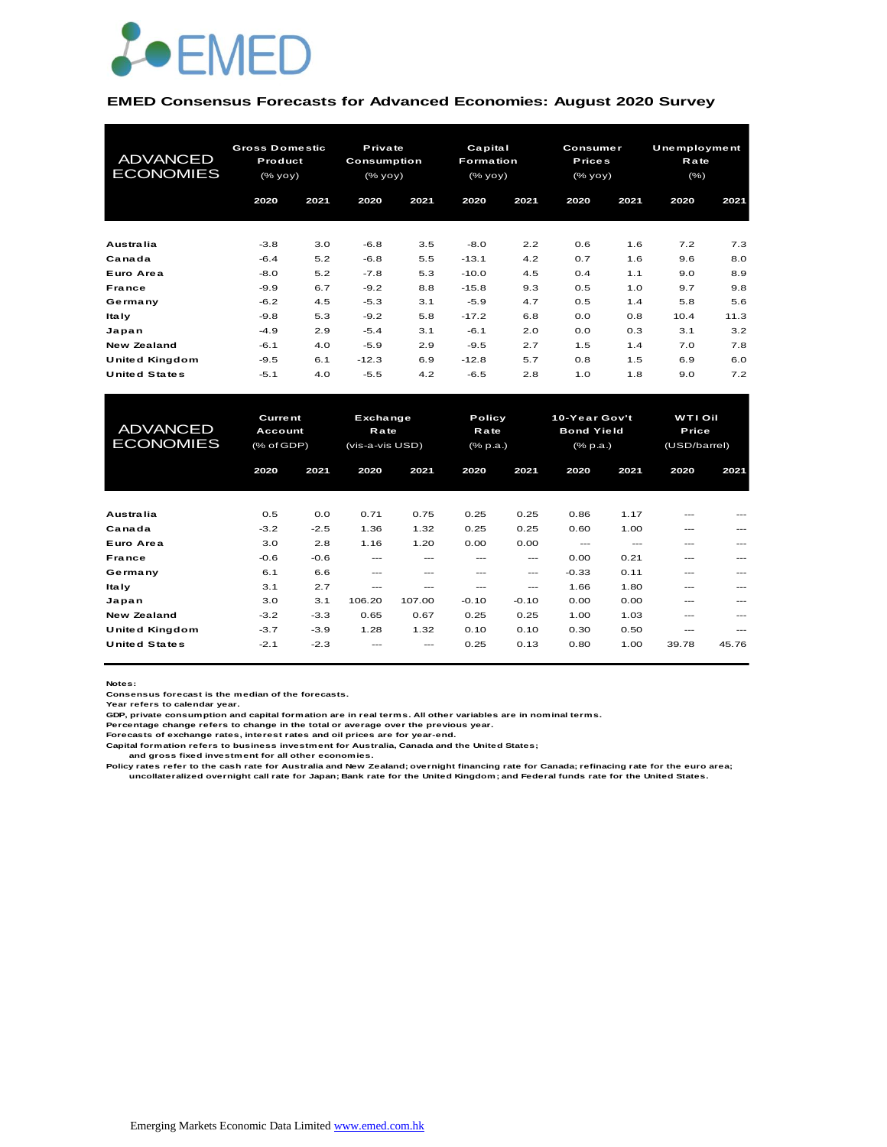

#### **EMED Consensus Forecasts for Advanced Economies: August 2020 Survey**

| <b>ADVANCED</b><br><b>ECONOMIES</b> | <b>Gross Domestic</b><br>Product<br>(% |      | Private<br>Consumption<br>$(\%$ yoy $)$ |      | Capital<br><b>Formation</b><br>(% |      | <b>Consumer</b><br><b>Prices</b><br>(% yoy) |      | Unemployment<br>Rate<br>(% ) |      |
|-------------------------------------|----------------------------------------|------|-----------------------------------------|------|-----------------------------------|------|---------------------------------------------|------|------------------------------|------|
|                                     | 2020                                   | 2021 | 2020                                    | 2021 | 2020                              | 2021 | 2020                                        | 2021 | 2020                         | 2021 |
| Australia                           | $-3.8$                                 | 3.0  | $-6.8$                                  | 3.5  | $-8.0$                            | 2.2  | 0.6                                         | 1.6  | 7.2                          | 7.3  |
| Canada                              | $-6.4$                                 | 5.2  | $-6.8$                                  | 5.5  | $-13.1$                           | 4.2  | 0.7                                         | 1.6  | 9.6                          | 8.0  |
| Euro Area                           | $-8.0$                                 | 5.2  | $-7.8$                                  | 5.3  | $-10.0$                           | 4.5  | 0.4                                         | 1.1  | 9.0                          | 8.9  |
| France                              | $-9.9$                                 | 6.7  | $-9.2$                                  | 8.8  | $-15.8$                           | 9.3  | 0.5                                         | 1.0  | 9.7                          | 9.8  |
| Germany                             | $-6.2$                                 | 4.5  | $-5.3$                                  | 3.1  | $-5.9$                            | 4.7  | 0.5                                         | 1.4  | 5.8                          | 5.6  |
| <b>Italy</b>                        | $-9.8$                                 | 5.3  | $-9.2$                                  | 5.8  | $-17.2$                           | 6.8  | 0.0                                         | 0.8  | 10.4                         | 11.3 |
| Japan                               | $-4.9$                                 | 2.9  | $-5.4$                                  | 3.1  | $-6.1$                            | 2.0  | 0.0                                         | 0.3  | 3.1                          | 3.2  |
| New Zealand                         | $-6.1$                                 | 4.0  | $-5.9$                                  | 2.9  | $-9.5$                            | 2.7  | 1.5                                         | 1.4  | 7.0                          | 7.8  |
| United Kingdom                      | $-9.5$                                 | 6.1  | $-12.3$                                 | 6.9  | $-12.8$                           | 5.7  | 0.8                                         | 1.5  | 6.9                          | 6.0  |
| <b>United States</b>                | $-5.1$                                 | 4.0  | $-5.5$                                  | 4.2  | $-6.5$                            | 2.8  | 1.0                                         | 1.8  | 9.0                          | 7.2  |

| United Kingdom                      | $-9.5$                                  | 6.1    | $-12.3$                                    | 6.9    | $-12.8$                           | 5.7     | 0.8                                                   | 1.5   | 6.9                                     | 6.0   |
|-------------------------------------|-----------------------------------------|--------|--------------------------------------------|--------|-----------------------------------|---------|-------------------------------------------------------|-------|-----------------------------------------|-------|
| <b>United States</b>                | $-5.1$                                  | 4.0    | $-5.5$                                     | 4.2    | $-6.5$                            | 2.8     | 1.0                                                   | 1.8   | 9.0                                     | 7.2   |
|                                     |                                         |        |                                            |        |                                   |         |                                                       |       |                                         |       |
| <b>ADVANCED</b><br><b>ECONOMIES</b> | <b>Current</b><br>Account<br>(% of GDP) |        | Exchange<br><b>Rate</b><br>(vis-a-vis USD) |        | Policy<br>Rate<br>$(%$ $(% p.a.)$ |         | 10-Year Gov't<br><b>Bond Yield</b><br>$(%$ $(% p.a.)$ |       | <b>WTI Oil</b><br>Price<br>(USD/barrel) |       |
|                                     | 2020                                    | 2021   | 2020                                       | 2021   | 2020                              | 2021    | 2020                                                  | 2021  | 2020                                    | 2021  |
|                                     |                                         |        |                                            |        |                                   |         |                                                       |       |                                         |       |
| Australia                           | 0.5                                     | 0.0    | 0.71                                       | 0.75   | 0.25                              | 0.25    | 0.86                                                  | 1.17  | ---                                     |       |
| Canada                              | $-3.2$                                  | $-2.5$ | 1.36                                       | 1.32   | 0.25                              | 0.25    | 0.60                                                  | 1.00  | ---                                     |       |
| Euro Area                           | 3.0                                     | 2.8    | 1.16                                       | 1.20   | 0.00                              | 0.00    | $---$                                                 | $---$ | ---                                     |       |
| France                              | $-0.6$                                  | $-0.6$ | ---                                        | ---    | $---$                             | ---     | 0.00                                                  | 0.21  | ---                                     | ---   |
| Germany                             | 6.1                                     | 6.6    | $---$                                      | ---    | ---                               | $---$   | $-0.33$                                               | 0.11  | ---                                     |       |
| <b>Italy</b>                        | 3.1                                     | 2.7    | ---                                        | ---    | ---                               | ---     | 1.66                                                  | 1.80  | ---                                     |       |
| Japan                               | 3.0                                     | 3.1    | 106.20                                     | 107.00 | $-0.10$                           | $-0.10$ | 0.00                                                  | 0.00  | ---                                     |       |
| <b>New Zealand</b>                  | $-3.2$                                  | $-3.3$ | 0.65                                       | 0.67   | 0.25                              | 0.25    | 1.00                                                  | 1.03  | ---                                     |       |
| United Kingdom                      | $-3.7$                                  | $-3.9$ | 1.28                                       | 1.32   | 0.10                              | 0.10    | 0.30                                                  | 0.50  | ---                                     | ---   |
| <b>United States</b>                | $-2.1$                                  | $-2.3$ |                                            |        | 0.25                              | 0.13    | 0.80                                                  | 1.00  | 39.78                                   | 45.76 |

**Notes:** 

**Consensus forecast is the median of the forecasts. Year refers to calendar year.**

**GDP, private consumption and capital formation are in real terms. All other variables are in nominal terms.**

**Percentage change refers to change in the total or average over the previous year. Forecasts of exchange rates, interest rates and oil prices are for year-end.**

**Capital formation refers to business investment for Australia, Canada and the United States;**

 **and gross fixed investment for all other economies.**

Policy rates refer to the cash rate for Australia and New Zealand; overnight financing rate for Canada; refinacing rate for the euro area;<br>uncollateralized overnight call rate for Japan; Bank rate for the United Kingdom; a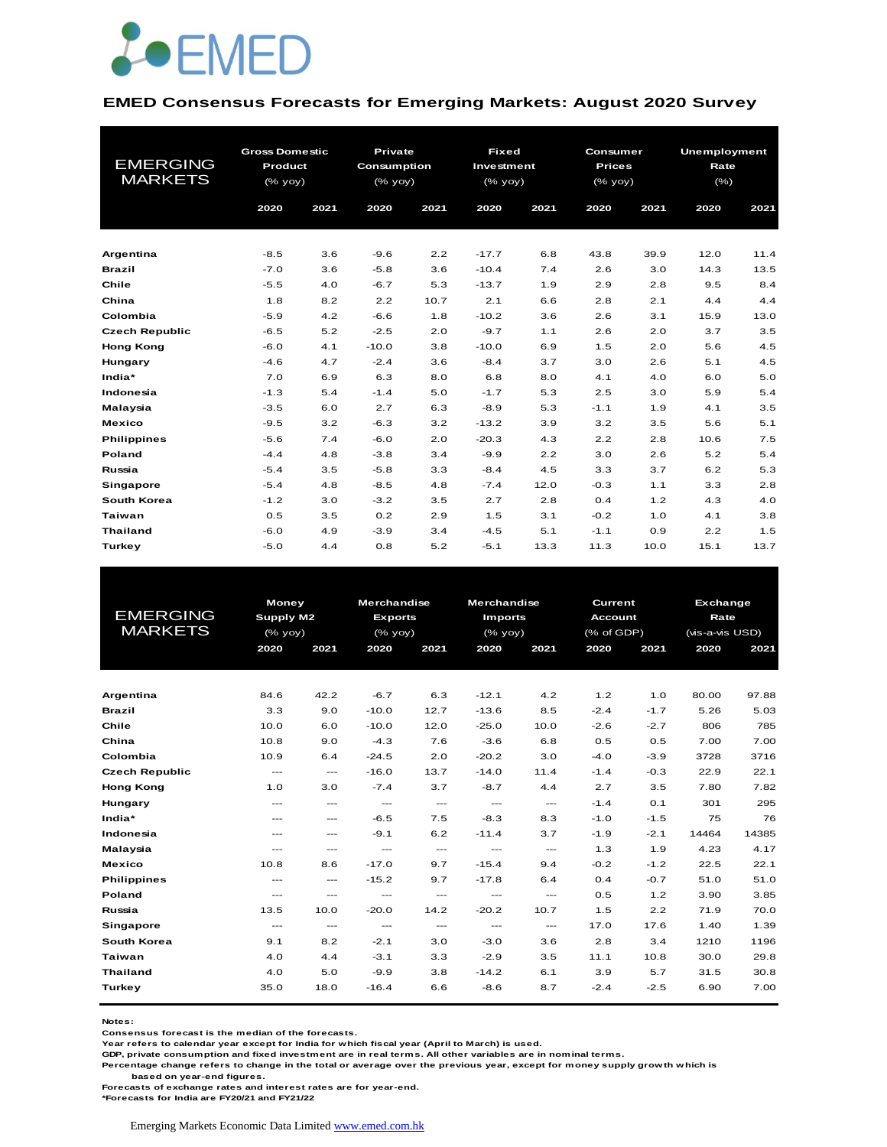

#### **EMED Consensus Forecasts for Emerging Markets: August 2020 Survey**

| <b>EMERGING</b><br><b>MARKETS</b> | <b>Gross Domestic</b><br>Product<br>(% yoy) |      | <b>Private</b><br>Consumption<br>$(%$ (% yoy) |      | <b>Fixed</b><br>Investment<br>(% yoy) |      | Consumer<br><b>Prices</b><br>(% yoy) |      | <b>Unemployment</b><br>Rate<br>$(\%)$ |      |
|-----------------------------------|---------------------------------------------|------|-----------------------------------------------|------|---------------------------------------|------|--------------------------------------|------|---------------------------------------|------|
|                                   | 2020                                        | 2021 | 2020                                          | 2021 | 2020                                  | 2021 | 2020                                 | 2021 | 2020                                  | 2021 |
|                                   |                                             |      |                                               |      |                                       |      |                                      |      |                                       |      |
| Argentina                         | $-8.5$                                      | 3.6  | $-9.6$                                        | 2.2  | $-17.7$                               | 6.8  | 43.8                                 | 39.9 | 12.0                                  | 11.4 |
| <b>Brazil</b>                     | $-7.0$                                      | 3.6  | $-5.8$                                        | 3.6  | $-10.4$                               | 7.4  | 2.6                                  | 3.0  | 14.3                                  | 13.5 |
| Chile                             | $-5.5$                                      | 4.0  | $-6.7$                                        | 5.3  | $-13.7$                               | 1.9  | 2.9                                  | 2.8  | 9.5                                   | 8.4  |
| China                             | 1.8                                         | 8.2  | 2.2                                           | 10.7 | 2.1                                   | 6.6  | 2.8                                  | 2.1  | 4.4                                   | 4.4  |
| Colombia                          | $-5.9$                                      | 4.2  | $-6.6$                                        | 1.8  | $-10.2$                               | 3.6  | 2.6                                  | 3.1  | 15.9                                  | 13.0 |
| <b>Czech Republic</b>             | $-6.5$                                      | 5.2  | $-2.5$                                        | 2.0  | $-9.7$                                | 1.1  | 2.6                                  | 2.0  | 3.7                                   | 3.5  |
| <b>Hong Kong</b>                  | $-6.0$                                      | 4.1  | $-10.0$                                       | 3.8  | $-10.0$                               | 6.9  | 1.5                                  | 2.0  | 5.6                                   | 4.5  |
| Hungary                           | $-4.6$                                      | 4.7  | $-2.4$                                        | 3.6  | $-8.4$                                | 3.7  | 3.0                                  | 2.6  | 5.1                                   | 4.5  |
| India*                            | 7.0                                         | 6.9  | 6.3                                           | 8.0  | 6.8                                   | 8.0  | 4.1                                  | 4.0  | 6.0                                   | 5.0  |
| Indonesia                         | $-1.3$                                      | 5.4  | $-1.4$                                        | 5.0  | $-1.7$                                | 5.3  | 2.5                                  | 3.0  | 5.9                                   | 5.4  |
| Malaysia                          | $-3.5$                                      | 6.0  | 2.7                                           | 6.3  | $-8.9$                                | 5.3  | $-1.1$                               | 1.9  | 4.1                                   | 3.5  |
| <b>Mexico</b>                     | $-9.5$                                      | 3.2  | $-6.3$                                        | 3.2  | $-13.2$                               | 3.9  | 3.2                                  | 3.5  | 5.6                                   | 5.1  |
| <b>Philippines</b>                | $-5.6$                                      | 7.4  | $-6.0$                                        | 2.0  | $-20.3$                               | 4.3  | 2.2                                  | 2.8  | 10.6                                  | 7.5  |
| Poland                            | $-4.4$                                      | 4.8  | $-3.8$                                        | 3.4  | $-9.9$                                | 2.2  | 3.0                                  | 2.6  | 5.2                                   | 5.4  |
| Russia                            | $-5.4$                                      | 3.5  | $-5.8$                                        | 3.3  | $-8.4$                                | 4.5  | 3.3                                  | 3.7  | 6.2                                   | 5.3  |
| Singapore                         | $-5.4$                                      | 4.8  | $-8.5$                                        | 4.8  | $-7.4$                                | 12.0 | $-0.3$                               | 1.1  | 3.3                                   | 2.8  |
| South Korea                       | $-1.2$                                      | 3.0  | $-3.2$                                        | 3.5  | 2.7                                   | 2.8  | 0.4                                  | 1.2  | 4.3                                   | 4.0  |
| <b>Taiwan</b>                     | 0.5                                         | 3.5  | 0.2                                           | 2.9  | 1.5                                   | 3.1  | $-0.2$                               | 1.0  | 4.1                                   | 3.8  |
| <b>Thailand</b>                   | $-6.0$                                      | 4.9  | $-3.9$                                        | 3.4  | $-4.5$                                | 5.1  | $-1.1$                               | 0.9  | 2.2                                   | 1.5  |
| Turkey                            | $-5.0$                                      | 4.4  | 0.8                                           | 5.2  | $-5.1$                                | 13.3 | 11.3                                 | 10.0 | 15.1                                  | 13.7 |

|                       | <b>Money</b>           |                                          | <b>Merchandise</b>                       |                                                                                                | Merchandise              |               | Current    |                        | <b>Exchange</b> |       |
|-----------------------|------------------------|------------------------------------------|------------------------------------------|------------------------------------------------------------------------------------------------|--------------------------|---------------|------------|------------------------|-----------------|-------|
| <b>EMERGING</b>       |                        | Supply M2                                |                                          | <b>Exports</b>                                                                                 | <b>Imports</b>           |               |            | <b>Account</b><br>Rate |                 |       |
| <b>MARKETS</b>        | $(%$ (% yoy)           |                                          | $(%$ (% yoy)                             |                                                                                                | (% yoy)                  |               | (% of GDP) |                        | (vis-a-vis USD) |       |
|                       | 2020                   | 2021                                     | 2020                                     | 2021                                                                                           | 2020                     | 2021          | 2020       | 2021                   | 2020            | 2021  |
|                       |                        |                                          |                                          |                                                                                                |                          |               |            |                        |                 |       |
|                       |                        |                                          |                                          |                                                                                                |                          |               |            |                        |                 |       |
| Argentina             | 84.6                   | 42.2                                     | $-6.7$                                   | 6.3                                                                                            | $-12.1$                  | 4.2           | 1.2        | 1.0                    | 80.00           | 97.88 |
| <b>Brazil</b>         | 3.3                    | 9.0                                      | $-10.0$                                  | 12.7                                                                                           | $-13.6$                  | 8.5           | $-2.4$     | $-1.7$                 | 5.26            | 5.03  |
| Chile                 | 10.0                   | 6.0                                      | $-10.0$                                  | 12.0                                                                                           | $-25.0$                  | 10.0          | $-2.6$     | $-2.7$                 | 806             | 785   |
| China                 | 10.8                   | 9.0                                      | $-4.3$                                   | 7.6                                                                                            | $-3.6$                   | 6.8           | 0.5        | 0.5                    | 7.00            | 7.00  |
| Colombia              | 10.9                   | 6.4                                      | $-24.5$                                  | 2.0                                                                                            | $-20.2$                  | 3.0           | $-4.0$     | $-3.9$                 | 3728            | 3716  |
| <b>Czech Republic</b> | $\qquad \qquad \cdots$ | $\qquad \qquad \cdots$                   | $-16.0$                                  | 13.7                                                                                           | $-14.0$                  | 11.4          | $-1.4$     | $-0.3$                 | 22.9            | 22.1  |
| <b>Hong Kong</b>      | 1.0                    | 3.0                                      | $-7.4$                                   | 3.7                                                                                            | $-8.7$                   | 4.4           | 2.7        | 3.5                    | 7.80            | 7.82  |
| Hungary               | $---$                  | $---$                                    | $\hspace{0.05cm} \ldots \hspace{0.05cm}$ | $\cdots$                                                                                       | $\hspace{0.05cm} \ldots$ | $\cdots$      | $-1.4$     | 0.1                    | 301             | 295   |
| India*                | $---$                  | $\qquad \qquad \cdots$                   | $-6.5$                                   | 7.5                                                                                            | $-8.3$                   | 8.3           | $-1.0$     | $-1.5$                 | 75              | 76    |
| Indonesia             | $---$                  | $---$                                    | $-9.1$                                   | 6.2                                                                                            | $-11.4$                  | 3.7           | $-1.9$     | $-2.1$                 | 14464           | 14385 |
| Malaysia              | $---$                  | $---$                                    | $\frac{1}{2}$                            | $\frac{1}{2} \left( \frac{1}{2} \right) \left( \frac{1}{2} \right) \left( \frac{1}{2} \right)$ | $\frac{1}{2}$            | $\sim$ $\sim$ | 1.3        | 1.9                    | 4.23            | 4.17  |
| <b>Mexico</b>         | 10.8                   | 8.6                                      | $-17.0$                                  | 9.7                                                                                            | $-15.4$                  | 9.4           | $-0.2$     | $-1.2$                 | 22.5            | 22.1  |
| <b>Philippines</b>    | $\qquad \qquad -$      | $\qquad \qquad \cdots$                   | $-15.2$                                  | 9.7                                                                                            | $-17.8$                  | 6.4           | 0.4        | $-0.7$                 | 51.0            | 51.0  |
| Poland                | $\cdots$               | $\hspace{0.05cm} \ldots \hspace{0.05cm}$ | $\cdots$                                 | $\cdots$                                                                                       | $\cdots$                 | $\cdots$      | 0.5        | 1.2                    | 3.90            | 3.85  |
| Russia                | 13.5                   | 10.0                                     | $-20.0$                                  | 14.2                                                                                           | $-20.2$                  | 10.7          | 1.5        | 2.2                    | 71.9            | 70.0  |
| <b>Singapore</b>      | $\cdots$               | $\hspace{0.05cm} \ldots$                 | $\hspace{0.05cm} \ldots$                 | $\cdots$                                                                                       | $\hspace{0.05cm} \ldots$ | $\cdots$      | 17.0       | 17.6                   | 1.40            | 1.39  |
| South Korea           | 9.1                    | 8.2                                      | $-2.1$                                   | 3.0                                                                                            | $-3.0$                   | 3.6           | 2.8        | 3.4                    | 1210            | 1196  |
| Taiwan                | 4.0                    | 4.4                                      | $-3.1$                                   | 3.3                                                                                            | $-2.9$                   | 3.5           | 11.1       | 10.8                   | 30.0            | 29.8  |
| <b>Thailand</b>       | 4.0                    | 5.0                                      | $-9.9$                                   | 3.8                                                                                            | $-14.2$                  | 6.1           | 3.9        | 5.7                    | 31.5            | 30.8  |
| Turkey                | 35.0                   | 18.0                                     | $-16.4$                                  | 6.6                                                                                            | $-8.6$                   | 8.7           | $-2.4$     | $-2.5$                 | 6.90            | 7.00  |
|                       |                        |                                          |                                          |                                                                                                |                          |               |            |                        |                 |       |

**Notes:** 

**Consensus forecast is the median of the forecasts.**

**Year refers to calendar year except for India for which fiscal year (April to March) is used.**

**GDP, private consumption and fixed investment are in real terms. All other variables are in nominal terms.**

**Percentage change refers to change in the total or average over the previous year, except for money supply growth which is** 

 **based on year-end figures.**

**Forecasts of exchange rates and interest rates are for year-end.**

**\*Forecasts for India are FY20/21 and FY21/22**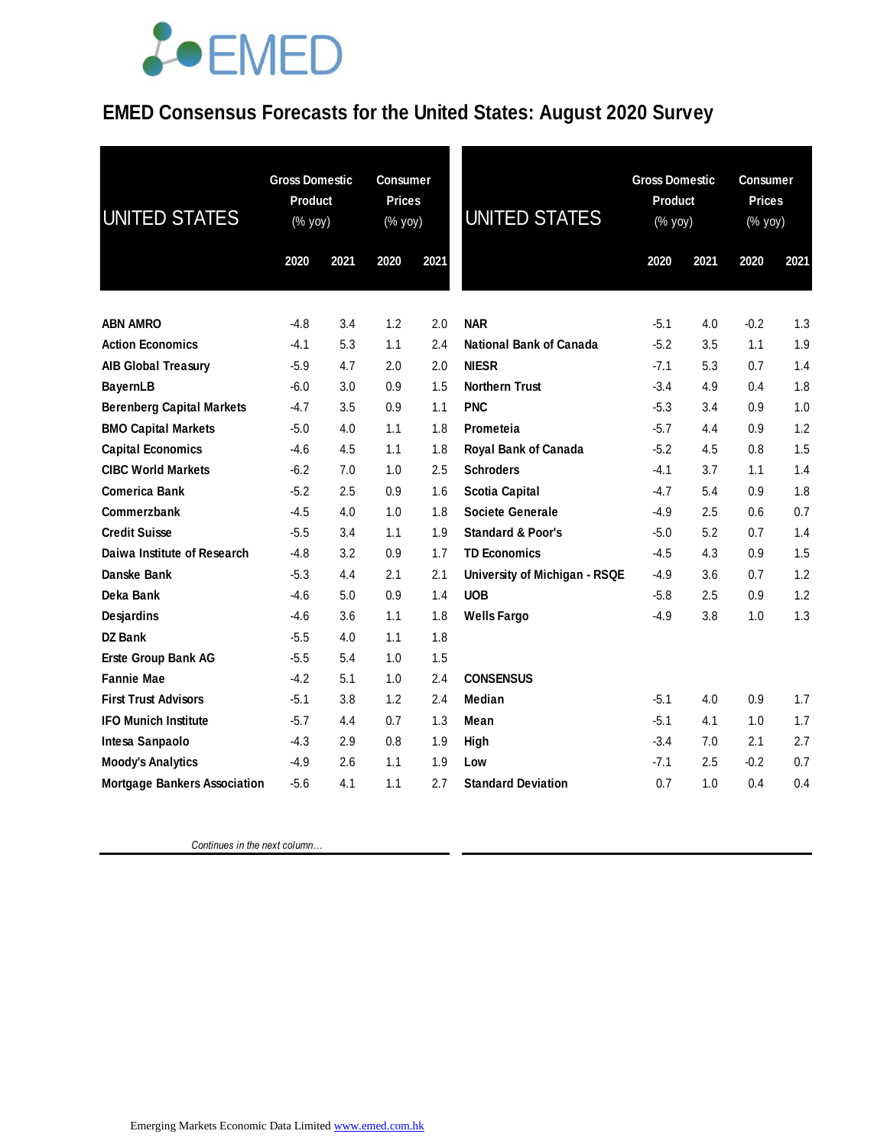## *<u>LOEMED</u>*

### **EMED Consensus Forecasts for the United States: August 2020 Survey**

| <b>UNITED STATES</b>                | <b>Gross Domestic</b><br>Product<br>(% yoy) |      | <b>Consumer</b><br><b>Prices</b><br>(% yoy) |      | <b>UNITED STATES</b>          | <b>Gross Domestic</b><br>Product<br>(% yoy) |      | <b>Consumer</b><br><b>Prices</b><br>(% yoy) |      |
|-------------------------------------|---------------------------------------------|------|---------------------------------------------|------|-------------------------------|---------------------------------------------|------|---------------------------------------------|------|
|                                     | 2020                                        | 2021 | 2020                                        | 2021 |                               | 2020                                        | 2021 | 2020                                        | 2021 |
| <b>ABN AMRO</b>                     | $-4.8$                                      | 3.4  | 1.2                                         | 2.0  | <b>NAR</b>                    | $-5.1$                                      | 4.0  | $-0.2$                                      | 1.3  |
| <b>Action Economics</b>             | $-4.1$                                      | 5.3  | 1.1                                         | 2.4  | National Bank of Canada       | $-5.2$                                      | 3.5  | 1.1                                         | 1.9  |
| <b>AIB Global Treasury</b>          | $-5.9$                                      | 4.7  | 2.0                                         | 2.0  | <b>NIESR</b>                  | $-7.1$                                      | 5.3  | 0.7                                         | 1.4  |
| <b>BayernLB</b>                     | $-6.0$                                      | 3.0  | 0.9                                         | 1.5  | <b>Northern Trust</b>         | $-3.4$                                      | 4.9  | 0.4                                         | 1.8  |
| <b>Berenberg Capital Markets</b>    | $-4.7$                                      | 3.5  | 0.9                                         | 1.1  | <b>PNC</b>                    | $-5.3$                                      | 3.4  | 0.9                                         | 1.0  |
| <b>BMO Capital Markets</b>          | $-5.0$                                      | 4.0  | 1.1                                         | 1.8  | Prometeia                     | $-5.7$                                      | 4.4  | 0.9                                         | 1.2  |
| <b>Capital Economics</b>            | $-4.6$                                      | 4.5  | 1.1                                         | 1.8  | <b>Royal Bank of Canada</b>   | $-5.2$                                      | 4.5  | 0.8                                         | 1.5  |
| <b>CIBC World Markets</b>           | $-6.2$                                      | 7.0  | 1.0                                         | 2.5  | <b>Schroders</b>              | $-4.1$                                      | 3.7  | 1.1                                         | 1.4  |
| <b>Comerica Bank</b>                | $-5.2$                                      | 2.5  | 0.9                                         | 1.6  | <b>Scotia Capital</b>         | $-4.7$                                      | 5.4  | 0.9                                         | 1.8  |
| Commerzbank                         | $-4.5$                                      | 4.0  | 1.0                                         | 1.8  | Societe Generale              | $-4.9$                                      | 2.5  | 0.6                                         | 0.7  |
| <b>Credit Suisse</b>                | $-5.5$                                      | 3.4  | 1.1                                         | 1.9  | <b>Standard &amp; Poor's</b>  | $-5.0$                                      | 5.2  | 0.7                                         | 1.4  |
| Daiwa Institute of Research         | $-4.8$                                      | 3.2  | 0.9                                         | 1.7  | <b>TD Economics</b>           | $-4.5$                                      | 4.3  | 0.9                                         | 1.5  |
| Danske Bank                         | $-5.3$                                      | 4.4  | 2.1                                         | 2.1  | University of Michigan - RSQE | $-4.9$                                      | 3.6  | 0.7                                         | 1.2  |
| Deka Bank                           | $-4.6$                                      | 5.0  | 0.9                                         | 1.4  | <b>UOB</b>                    | $-5.8$                                      | 2.5  | 0.9                                         | 1.2  |
| Desjardins                          | $-4.6$                                      | 3.6  | 1.1                                         | 1.8  | <b>Wells Fargo</b>            | $-4.9$                                      | 3.8  | 1.0                                         | 1.3  |
| <b>DZ Bank</b>                      | $-5.5$                                      | 4.0  | 1.1                                         | 1.8  |                               |                                             |      |                                             |      |
| Erste Group Bank AG                 | $-5.5$                                      | 5.4  | 1.0                                         | 1.5  |                               |                                             |      |                                             |      |
| <b>Fannie Mae</b>                   | $-4.2$                                      | 5.1  | 1.0                                         | 2.4  | <b>CONSENSUS</b>              |                                             |      |                                             |      |
| <b>First Trust Advisors</b>         | $-5.1$                                      | 3.8  | 1.2                                         | 2.4  | Median                        | $-5.1$                                      | 4.0  | 0.9                                         | 1.7  |
| <b>IFO Munich Institute</b>         | $-5.7$                                      | 4.4  | 0.7                                         | 1.3  | Mean                          | $-5.1$                                      | 4.1  | 1.0                                         | 1.7  |
| Intesa Sanpaolo                     | $-4.3$                                      | 2.9  | 0.8                                         | 1.9  | High                          | $-3.4$                                      | 7.0  | 2.1                                         | 2.7  |
| <b>Moody's Analytics</b>            | $-4.9$                                      | 2.6  | 1.1                                         | 1.9  | Low                           | $-7.1$                                      | 2.5  | $-0.2$                                      | 0.7  |
| <b>Mortgage Bankers Association</b> | $-5.6$                                      | 4.1  | 1.1                                         | 2.7  | <b>Standard Deviation</b>     | 0.7                                         | 1.0  | 0.4                                         | 0.4  |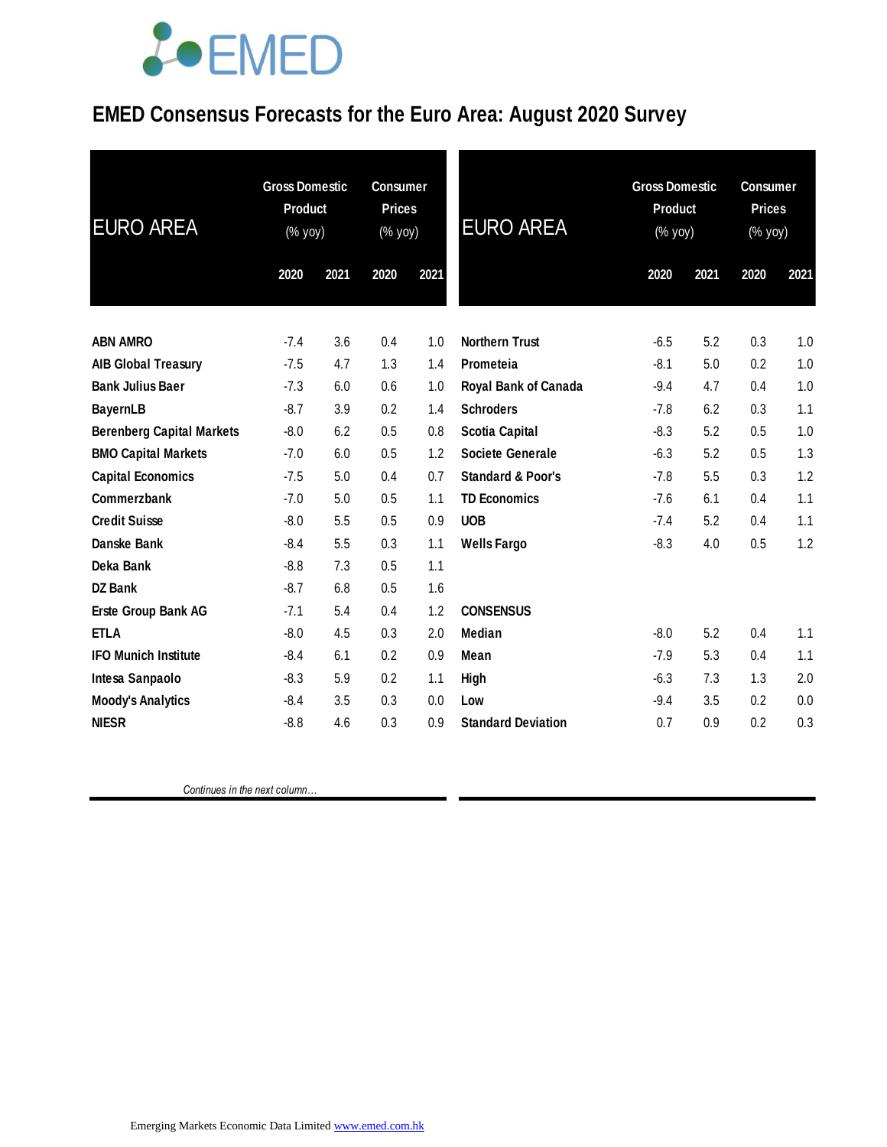## **JOEMED**

### **EMED Consensus Forecasts for the Euro Area: August 2020 Survey**

| <b>Gross Domestic</b><br>Product<br>(% yoy) |      | <b>Consumer</b><br><b>Prices</b><br>(% yoy) |      | <b>EURO AREA</b>             | <b>Gross Domestic</b><br><b>Product</b><br>(% yoy) |      | <b>Consumer</b><br><b>Prices</b><br>(% yoy) |      |
|---------------------------------------------|------|---------------------------------------------|------|------------------------------|----------------------------------------------------|------|---------------------------------------------|------|
| 2020                                        | 2021 | 2020                                        | 2021 |                              | 2020                                               | 2021 | 2020                                        | 2021 |
| $-7.4$                                      | 3.6  | 0.4                                         | 1.0  | <b>Northern Trust</b>        | $-6.5$                                             | 5.2  | 0.3                                         | 1.0  |
| $-7.5$                                      | 4.7  | 1.3                                         | 1.4  | Prometeia                    | $-8.1$                                             | 5.0  | 0.2                                         | 1.0  |
| $-7.3$                                      | 6.0  | 0.6                                         | 1.0  | Royal Bank of Canada         | $-9.4$                                             | 4.7  | 0.4                                         | 1.0  |
| $-8.7$                                      | 3.9  | 0.2                                         | 1.4  | <b>Schroders</b>             | $-7.8$                                             | 6.2  | 0.3                                         | 1.1  |
| $-8.0$                                      | 6.2  | 0.5                                         | 0.8  | <b>Scotia Capital</b>        | $-8.3$                                             | 5.2  | 0.5                                         | 1.0  |
| $-7.0$                                      | 6.0  | 0.5                                         | 1.2  | <b>Societe Generale</b>      | $-6.3$                                             | 5.2  | 0.5                                         | 1.3  |
| $-7.5$                                      | 5.0  | 0.4                                         | 0.7  | <b>Standard &amp; Poor's</b> | $-7.8$                                             | 5.5  | 0.3                                         | 1.2  |
| $-7.0$                                      | 5.0  | 0.5                                         | 1.1  | <b>TD Economics</b>          | $-7.6$                                             | 6.1  | 0.4                                         | 1.1  |
| $-8.0$                                      | 5.5  | 0.5                                         | 0.9  | <b>UOB</b>                   | $-7.4$                                             | 5.2  | 0.4                                         | 1.1  |
| $-8.4$                                      | 5.5  | 0.3                                         | 1.1  | <b>Wells Fargo</b>           | $-8.3$                                             | 4.0  | 0.5                                         | 1.2  |
| $-8.8$                                      | 7.3  | 0.5                                         | 1.1  |                              |                                                    |      |                                             |      |
| $-8.7$                                      | 6.8  | 0.5                                         | 1.6  |                              |                                                    |      |                                             |      |
| $-7.1$                                      | 5.4  | 0.4                                         | 1.2  | <b>CONSENSUS</b>             |                                                    |      |                                             |      |
| $-8.0$                                      | 4.5  | 0.3                                         | 2.0  | <b>Median</b>                | $-8.0$                                             | 5.2  | 0.4                                         | 1.1  |
| $-8.4$                                      | 6.1  | 0.2                                         | 0.9  | Mean                         | $-7.9$                                             | 5.3  | 0.4                                         | 1.1  |
| $-8.3$                                      | 5.9  | 0.2                                         | 1.1  | High                         | $-6.3$                                             | 7.3  | 1.3                                         | 2.0  |
| $-8.4$                                      | 3.5  | 0.3                                         | 0.0  | Low                          | $-9.4$                                             | 3.5  | 0.2                                         | 0.0  |
| $-8.8$                                      | 4.6  | 0.3                                         | 0.9  | <b>Standard Deviation</b>    | 0.7                                                | 0.9  | 0.2                                         | 0.3  |
|                                             |      |                                             |      |                              |                                                    |      |                                             |      |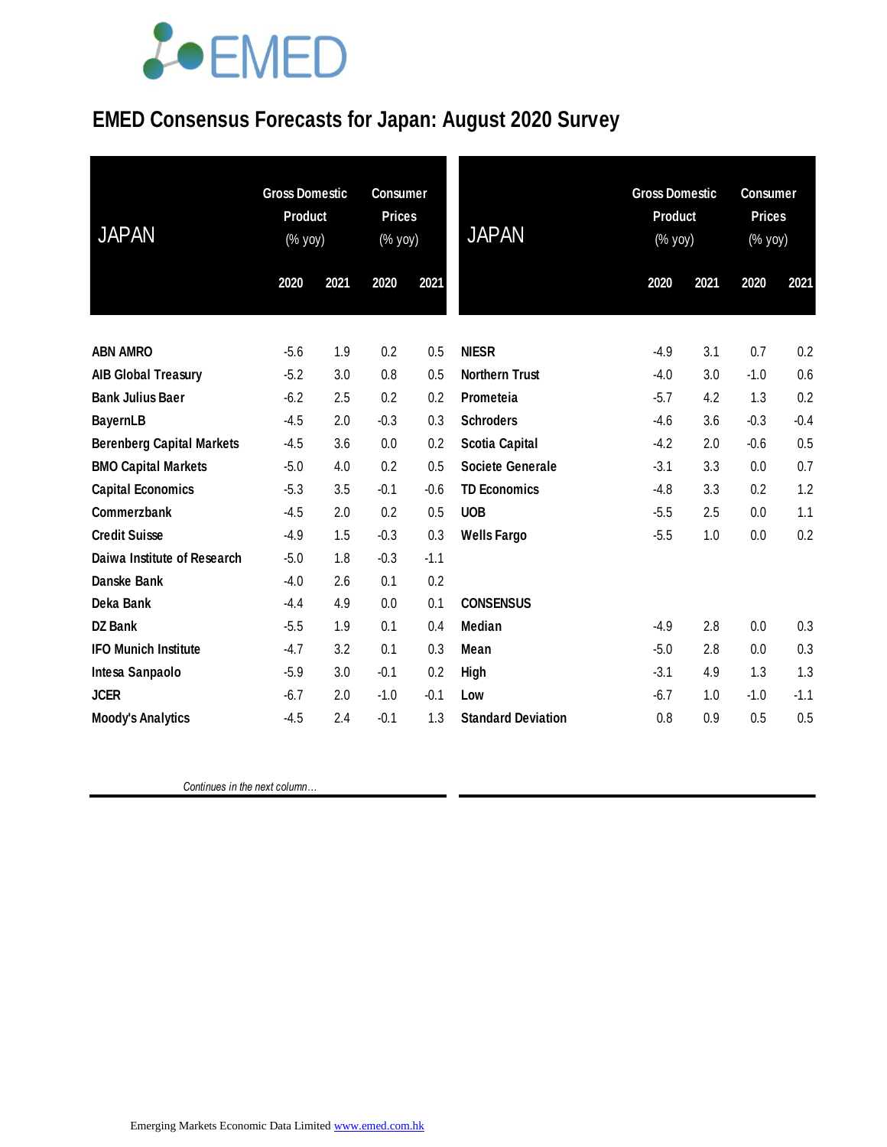## **JOEMED**

### **EMED Consensus Forecasts for Japan: August 2020 Survey**

| <b>JAPAN</b>                     | <b>Gross Domestic</b><br>Product<br>(% yoy) |      | <b>Consumer</b><br><b>Prices</b><br>(% yoy) |        | <b>JAPAN</b>              | <b>Gross Domestic</b><br><b>Product</b><br>(% yoy) |      | <b>Consumer</b><br><b>Prices</b><br>(% yoy) |        |
|----------------------------------|---------------------------------------------|------|---------------------------------------------|--------|---------------------------|----------------------------------------------------|------|---------------------------------------------|--------|
|                                  | 2020                                        | 2021 | 2020                                        | 2021   |                           | 2020                                               | 2021 | 2020                                        | 2021   |
| <b>ABN AMRO</b>                  | $-5.6$                                      | 1.9  | 0.2                                         | 0.5    | <b>NIESR</b>              | $-4.9$                                             | 3.1  | 0.7                                         | 0.2    |
| <b>AIB Global Treasury</b>       | $-5.2$                                      | 3.0  | 0.8                                         | 0.5    | <b>Northern Trust</b>     | $-4.0$                                             | 3.0  | $-1.0$                                      | 0.6    |
| <b>Bank Julius Baer</b>          | $-6.2$                                      | 2.5  | 0.2                                         | 0.2    | Prometeia                 | $-5.7$                                             | 4.2  | 1.3                                         | 0.2    |
| <b>BayernLB</b>                  | $-4.5$                                      | 2.0  | $-0.3$                                      | 0.3    | <b>Schroders</b>          | $-4.6$                                             | 3.6  | $-0.3$                                      | $-0.4$ |
| <b>Berenberg Capital Markets</b> | $-4.5$                                      | 3.6  | 0.0                                         | 0.2    | <b>Scotia Capital</b>     | $-4.2$                                             | 2.0  | $-0.6$                                      | 0.5    |
| <b>BMO Capital Markets</b>       | $-5.0$                                      | 4.0  | 0.2                                         | 0.5    | Societe Generale          | $-3.1$                                             | 3.3  | 0.0                                         | 0.7    |
| <b>Capital Economics</b>         | $-5.3$                                      | 3.5  | $-0.1$                                      | $-0.6$ | <b>TD Economics</b>       | $-4.8$                                             | 3.3  | 0.2                                         | 1.2    |
| Commerzbank                      | $-4.5$                                      | 2.0  | 0.2                                         | 0.5    | <b>UOB</b>                | $-5.5$                                             | 2.5  | 0.0                                         | 1.1    |
| <b>Credit Suisse</b>             | $-4.9$                                      | 1.5  | $-0.3$                                      | 0.3    | <b>Wells Fargo</b>        | $-5.5$                                             | 1.0  | 0.0                                         | 0.2    |
| Daiwa Institute of Research      | $-5.0$                                      | 1.8  | $-0.3$                                      | $-1.1$ |                           |                                                    |      |                                             |        |
| <b>Danske Bank</b>               | $-4.0$                                      | 2.6  | 0.1                                         | 0.2    |                           |                                                    |      |                                             |        |
| Deka Bank                        | $-4.4$                                      | 4.9  | 0.0                                         | 0.1    | <b>CONSENSUS</b>          |                                                    |      |                                             |        |
| <b>DZ Bank</b>                   | $-5.5$                                      | 1.9  | 0.1                                         | 0.4    | <b>Median</b>             | $-4.9$                                             | 2.8  | 0.0                                         | 0.3    |
| <b>IFO Munich Institute</b>      | $-4.7$                                      | 3.2  | 0.1                                         | 0.3    | Mean                      | $-5.0$                                             | 2.8  | 0.0                                         | 0.3    |
| Intesa Sanpaolo                  | $-5.9$                                      | 3.0  | $-0.1$                                      | 0.2    | High                      | $-3.1$                                             | 4.9  | 1.3                                         | 1.3    |
| <b>JCER</b>                      | $-6.7$                                      | 2.0  | $-1.0$                                      | $-0.1$ | Low                       | $-6.7$                                             | 1.0  | $-1.0$                                      | $-1.1$ |
| <b>Moody's Analytics</b>         | $-4.5$                                      | 2.4  | $-0.1$                                      | 1.3    | <b>Standard Deviation</b> | 0.8                                                | 0.9  | 0.5                                         | 0.5    |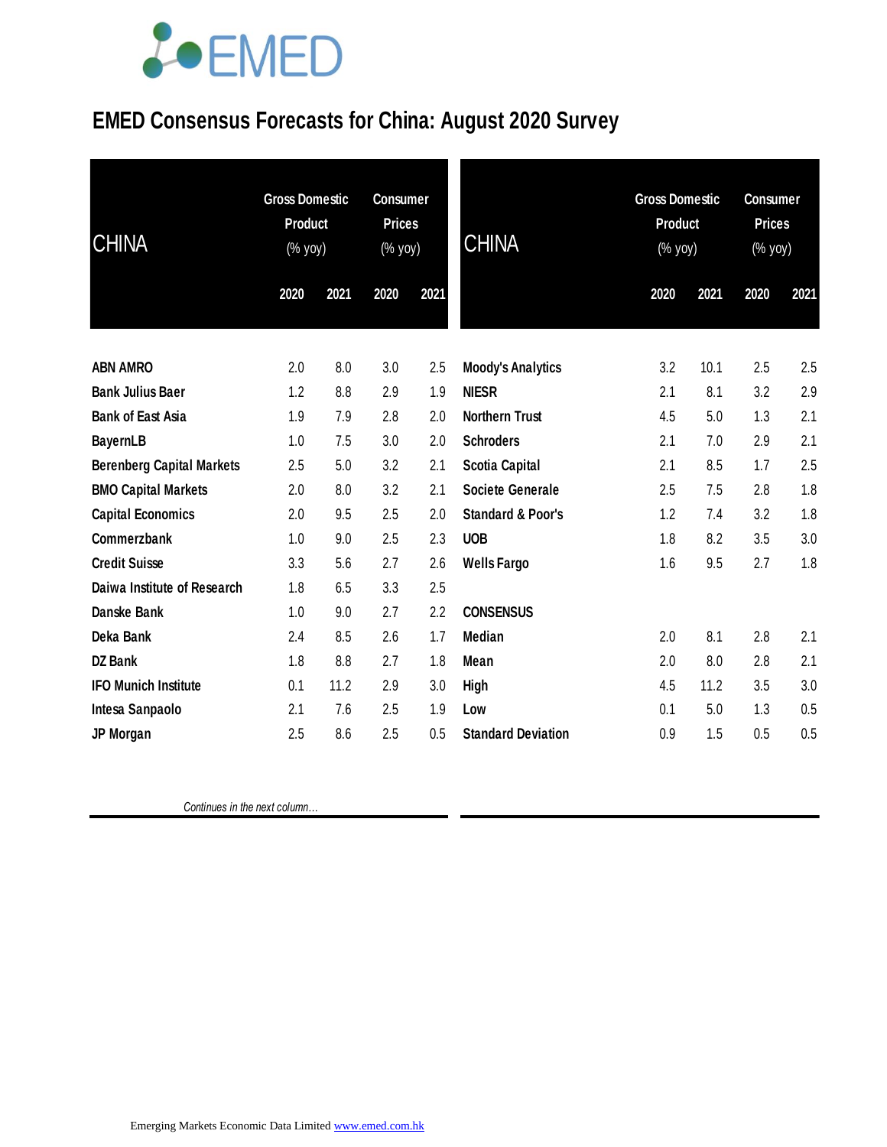# **JOEMED**

### **EMED Consensus Forecasts for China: August 2020 Survey**

| <b>CHINA</b>                     | <b>Gross Domestic</b><br><b>Product</b><br>(% yoy) |      | <b>Consumer</b><br><b>Prices</b><br>(% yoy) |      | <b>CHINA</b>                 | <b>Gross Domestic</b><br><b>Product</b><br>(% yoy) |      | <b>Consumer</b><br><b>Prices</b><br>(% yoy) |      |
|----------------------------------|----------------------------------------------------|------|---------------------------------------------|------|------------------------------|----------------------------------------------------|------|---------------------------------------------|------|
|                                  | 2020                                               | 2021 | 2020                                        | 2021 |                              | 2020                                               | 2021 | 2020                                        | 2021 |
| <b>ABN AMRO</b>                  | 2.0                                                | 8.0  | 3.0                                         | 2.5  | <b>Moody's Analytics</b>     | 3.2                                                | 10.1 | 2.5                                         | 2.5  |
| <b>Bank Julius Baer</b>          | 1.2                                                | 8.8  | 2.9                                         | 1.9  | <b>NIESR</b>                 | 2.1                                                | 8.1  | 3.2                                         | 2.9  |
| <b>Bank of East Asia</b>         | 1.9                                                | 7.9  | 2.8                                         | 2.0  | <b>Northern Trust</b>        | 4.5                                                | 5.0  | 1.3                                         | 2.1  |
| <b>BayernLB</b>                  | 1.0                                                | 7.5  | 3.0                                         | 2.0  | <b>Schroders</b>             | 2.1                                                | 7.0  | 2.9                                         | 2.1  |
| <b>Berenberg Capital Markets</b> | 2.5                                                | 5.0  | 3.2                                         | 2.1  | <b>Scotia Capital</b>        | 2.1                                                | 8.5  | 1.7                                         | 2.5  |
| <b>BMO Capital Markets</b>       | 2.0                                                | 8.0  | 3.2                                         | 2.1  | <b>Societe Generale</b>      | 2.5                                                | 7.5  | 2.8                                         | 1.8  |
| <b>Capital Economics</b>         | 2.0                                                | 9.5  | 2.5                                         | 2.0  | <b>Standard &amp; Poor's</b> | 1.2                                                | 7.4  | 3.2                                         | 1.8  |
| <b>Commerzbank</b>               | 1.0                                                | 9.0  | 2.5                                         | 2.3  | <b>UOB</b>                   | 1.8                                                | 8.2  | 3.5                                         | 3.0  |
| <b>Credit Suisse</b>             | 3.3                                                | 5.6  | 2.7                                         | 2.6  | <b>Wells Fargo</b>           | 1.6                                                | 9.5  | 2.7                                         | 1.8  |
| Daiwa Institute of Research      | 1.8                                                | 6.5  | 3.3                                         | 2.5  |                              |                                                    |      |                                             |      |
| Danske Bank                      | 1.0                                                | 9.0  | 2.7                                         | 2.2  | <b>CONSENSUS</b>             |                                                    |      |                                             |      |
| Deka Bank                        | 2.4                                                | 8.5  | 2.6                                         | 1.7  | <b>Median</b>                | 2.0                                                | 8.1  | 2.8                                         | 2.1  |
| <b>DZ Bank</b>                   | 1.8                                                | 8.8  | 2.7                                         | 1.8  | Mean                         | 2.0                                                | 8.0  | 2.8                                         | 2.1  |
| <b>IFO Munich Institute</b>      | 0.1                                                | 11.2 | 2.9                                         | 3.0  | <b>High</b>                  | 4.5                                                | 11.2 | 3.5                                         | 3.0  |
| Intesa Sanpaolo                  | 2.1                                                | 7.6  | 2.5                                         | 1.9  | Low                          | 0.1                                                | 5.0  | 1.3                                         | 0.5  |
| JP Morgan                        | 2.5                                                | 8.6  | 2.5                                         | 0.5  | <b>Standard Deviation</b>    | 0.9                                                | 1.5  | 0.5                                         | 0.5  |